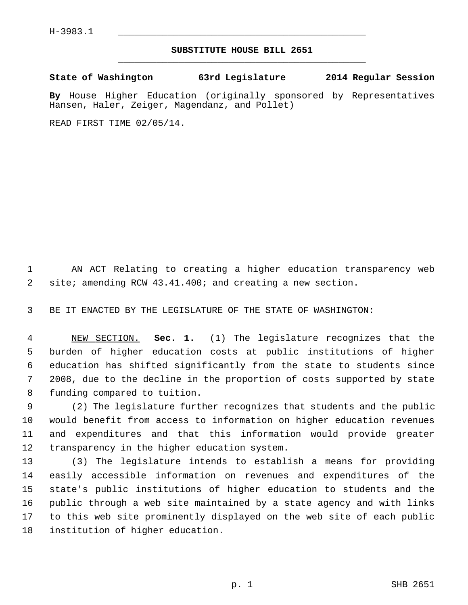## **SUBSTITUTE HOUSE BILL 2651** \_\_\_\_\_\_\_\_\_\_\_\_\_\_\_\_\_\_\_\_\_\_\_\_\_\_\_\_\_\_\_\_\_\_\_\_\_\_\_\_\_\_\_\_\_

**State of Washington 63rd Legislature 2014 Regular Session**

**By** House Higher Education (originally sponsored by Representatives Hansen, Haler, Zeiger, Magendanz, and Pollet)

READ FIRST TIME 02/05/14.

 1 AN ACT Relating to creating a higher education transparency web 2 site; amending RCW 43.41.400; and creating a new section.

3 BE IT ENACTED BY THE LEGISLATURE OF THE STATE OF WASHINGTON:

 4 NEW SECTION. **Sec. 1.** (1) The legislature recognizes that the 5 burden of higher education costs at public institutions of higher 6 education has shifted significantly from the state to students since 7 2008, due to the decline in the proportion of costs supported by state 8 funding compared to tuition.

 9 (2) The legislature further recognizes that students and the public 10 would benefit from access to information on higher education revenues 11 and expenditures and that this information would provide greater 12 transparency in the higher education system.

13 (3) The legislature intends to establish a means for providing 14 easily accessible information on revenues and expenditures of the 15 state's public institutions of higher education to students and the 16 public through a web site maintained by a state agency and with links 17 to this web site prominently displayed on the web site of each public 18 institution of higher education.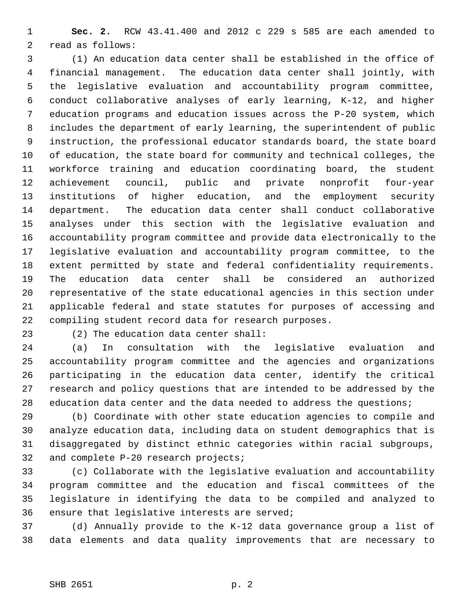1 **Sec. 2.** RCW 43.41.400 and 2012 c 229 s 585 are each amended to 2 read as follows:

 3 (1) An education data center shall be established in the office of 4 financial management. The education data center shall jointly, with 5 the legislative evaluation and accountability program committee, 6 conduct collaborative analyses of early learning, K-12, and higher 7 education programs and education issues across the P-20 system, which 8 includes the department of early learning, the superintendent of public 9 instruction, the professional educator standards board, the state board 10 of education, the state board for community and technical colleges, the 11 workforce training and education coordinating board, the student 12 achievement council, public and private nonprofit four-year 13 institutions of higher education, and the employment security 14 department. The education data center shall conduct collaborative 15 analyses under this section with the legislative evaluation and 16 accountability program committee and provide data electronically to the 17 legislative evaluation and accountability program committee, to the 18 extent permitted by state and federal confidentiality requirements. 19 The education data center shall be considered an authorized 20 representative of the state educational agencies in this section under 21 applicable federal and state statutes for purposes of accessing and 22 compiling student record data for research purposes.

23 (2) The education data center shall:

24 (a) In consultation with the legislative evaluation and 25 accountability program committee and the agencies and organizations 26 participating in the education data center, identify the critical 27 research and policy questions that are intended to be addressed by the 28 education data center and the data needed to address the questions;

29 (b) Coordinate with other state education agencies to compile and 30 analyze education data, including data on student demographics that is 31 disaggregated by distinct ethnic categories within racial subgroups, 32 and complete P-20 research projects;

33 (c) Collaborate with the legislative evaluation and accountability 34 program committee and the education and fiscal committees of the 35 legislature in identifying the data to be compiled and analyzed to 36 ensure that legislative interests are served;

37 (d) Annually provide to the K-12 data governance group a list of 38 data elements and data quality improvements that are necessary to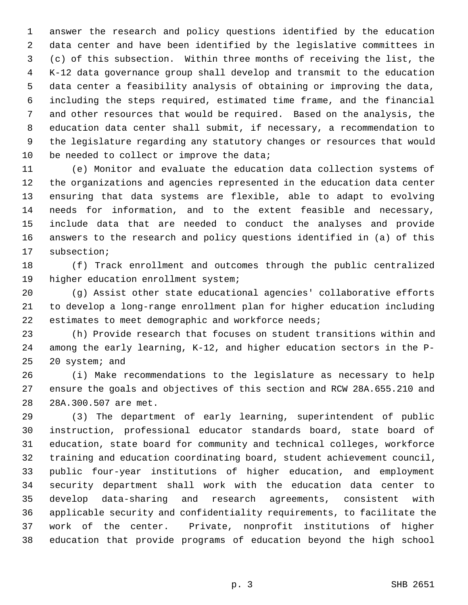1 answer the research and policy questions identified by the education 2 data center and have been identified by the legislative committees in 3 (c) of this subsection. Within three months of receiving the list, the 4 K-12 data governance group shall develop and transmit to the education 5 data center a feasibility analysis of obtaining or improving the data, 6 including the steps required, estimated time frame, and the financial 7 and other resources that would be required. Based on the analysis, the 8 education data center shall submit, if necessary, a recommendation to 9 the legislature regarding any statutory changes or resources that would 10 be needed to collect or improve the data;

11 (e) Monitor and evaluate the education data collection systems of 12 the organizations and agencies represented in the education data center 13 ensuring that data systems are flexible, able to adapt to evolving 14 needs for information, and to the extent feasible and necessary, 15 include data that are needed to conduct the analyses and provide 16 answers to the research and policy questions identified in (a) of this 17 subsection;

18 (f) Track enrollment and outcomes through the public centralized 19 higher education enrollment system;

20 (g) Assist other state educational agencies' collaborative efforts 21 to develop a long-range enrollment plan for higher education including 22 estimates to meet demographic and workforce needs;

23 (h) Provide research that focuses on student transitions within and 24 among the early learning, K-12, and higher education sectors in the P-25 20 system; and

26 (i) Make recommendations to the legislature as necessary to help 27 ensure the goals and objectives of this section and RCW 28A.655.210 and 28 28A.300.507 are met.

29 (3) The department of early learning, superintendent of public 30 instruction, professional educator standards board, state board of 31 education, state board for community and technical colleges, workforce 32 training and education coordinating board, student achievement council, 33 public four-year institutions of higher education, and employment 34 security department shall work with the education data center to 35 develop data-sharing and research agreements, consistent with 36 applicable security and confidentiality requirements, to facilitate the 37 work of the center. Private, nonprofit institutions of higher 38 education that provide programs of education beyond the high school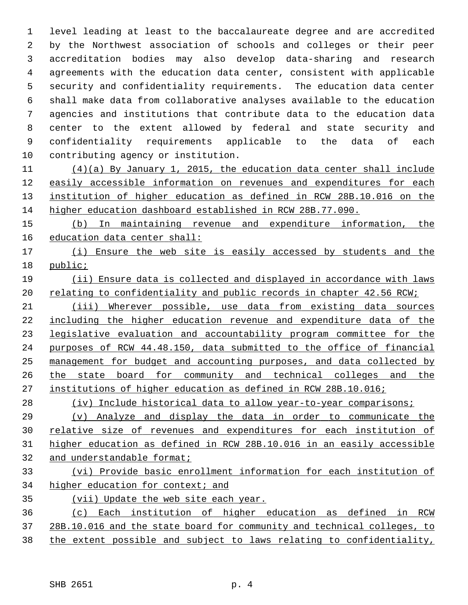1 level leading at least to the baccalaureate degree and are accredited 2 by the Northwest association of schools and colleges or their peer 3 accreditation bodies may also develop data-sharing and research 4 agreements with the education data center, consistent with applicable 5 security and confidentiality requirements. The education data center 6 shall make data from collaborative analyses available to the education 7 agencies and institutions that contribute data to the education data 8 center to the extent allowed by federal and state security and 9 confidentiality requirements applicable to the data of each 10 contributing agency or institution.

 (4)(a) By January 1, 2015, the education data center shall include easily accessible information on revenues and expenditures for each institution of higher education as defined in RCW 28B.10.016 on the higher education dashboard established in RCW 28B.77.090.

 (b) In maintaining revenue and expenditure information, the education data center shall:

 (i) Ensure the web site is easily accessed by students and the public;

 (ii) Ensure data is collected and displayed in accordance with laws 20 relating to confidentiality and public records in chapter 42.56 RCW;

 (iii) Wherever possible, use data from existing data sources including the higher education revenue and expenditure data of the legislative evaluation and accountability program committee for the purposes of RCW 44.48.150, data submitted to the office of financial management for budget and accounting purposes, and data collected by the state board for community and technical colleges and the institutions of higher education as defined in RCW 28B.10.016;

(iv) Include historical data to allow year-to-year comparisons;

 (v) Analyze and display the data in order to communicate the relative size of revenues and expenditures for each institution of higher education as defined in RCW 28B.10.016 in an easily accessible and understandable format;

## (vi) Provide basic enrollment information for each institution of higher education for context; and

- (vii) Update the web site each year.
- (c) Each institution of higher education as defined in RCW 28B.10.016 and the state board for community and technical colleges, to the extent possible and subject to laws relating to confidentiality,